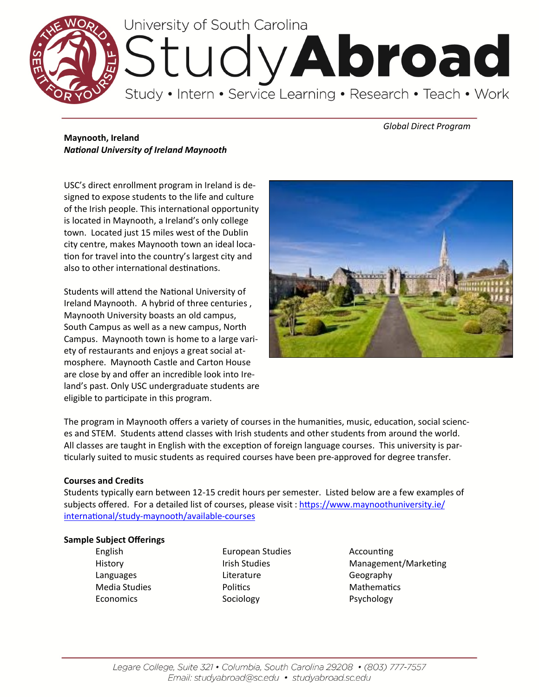

# *Global Direct Program*

# **Maynooth, Ireland** *National University of Ireland Maynooth*

USC's direct enrollment program in Ireland is designed to expose students to the life and culture of the Irish people. This international opportunity is located in Maynooth, a Ireland's only college town. Located just 15 miles west of the Dublin city centre, makes Maynooth town an ideal location for travel into the country's largest city and also to other international destinations.

Students will attend the National University of Ireland Maynooth. A hybrid of three centuries , Maynooth University boasts an old campus, South Campus as well as a new campus, North Campus. Maynooth town is home to a large variety of restaurants and enjoys a great social atmosphere. Maynooth Castle and Carton House are close by and offer an incredible look into Ireland's past. Only USC undergraduate students are eligible to participate in this program.



The program in Maynooth offers a variety of courses in the humanities, music, education, social sciences and STEM. Students attend classes with Irish students and other students from around the world. All classes are taught in English with the exception of foreign language courses. This university is particularly suited to music students as required courses have been pre-approved for degree transfer.

# **Courses and Credits**

Students typically earn between 12-15 credit hours per semester. Listed below are a few examples of subjects offered. For a detailed list of courses, please visit : [https://www.maynoothuniversity.ie/](https://www.maynoothuniversity.ie/international/study-maynooth/available-courses) international/study-[maynooth/available](https://www.maynoothuniversity.ie/international/study-maynooth/available-courses)-courses

# **Sample Subject Offerings**

- 
- English European Studies Accounting Languages **Literature** Literature Geography Media Studies **Mathematics** Politics **Mathematics** Mathematics Economics Sociology Sociology Psychology
- History **Irish Studies** Management/Marketing